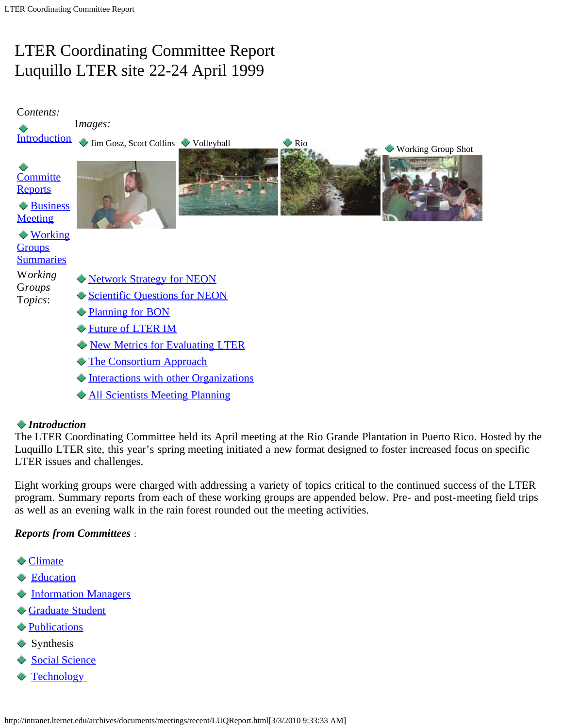# <span id="page-0-1"></span>LTER Coordinating Committee Report Luquillo LTER site 22-24 April 1999



# *Introduction*

<span id="page-0-0"></span>The LTER Coordinating Committee held its April meeting at the Rio Grande Plantation in Puerto Rico. Hosted by the Luquillo LTER site, this year's spring meeting initiated a new format designed to foster increased focus on specific LTER issues and challenges.

Eight working groups were charged with addressing a variety of topics critical to the continued success of the LTER program. Summary reports from each of these working groups are appended below. Pre- and post-meeting field trips as well as an evening walk in the rain forest rounded out the meeting activities.

# *Reports from Committees* :

- **[Climate](http://intranet.lternet.edu/archives/documents/meetings/committees/climate/climcomm/spring99rpt.html)**
- **[Education](http://intranet.lternet.edu/archives/documents/meetings/committees/education/spring99rpt.html)**
- $\blacklozenge$  [Information Managers](http://www.lternet.edu/documents/Reports/Data-management-committee/1998-DM-committee-report/im98rept.htm)
- [Graduate Student](http://intranet.lternet.edu/archives/documents/meetings/committees/gradstudent/Spring99rpt.html)
- **[Publications](http://www.lternet.edu/research/pubs/status.html)**
- **Synthesis**
- [Social Science](http://www.lternet.edu/network/committees/socioeconomic/)
- **Technology**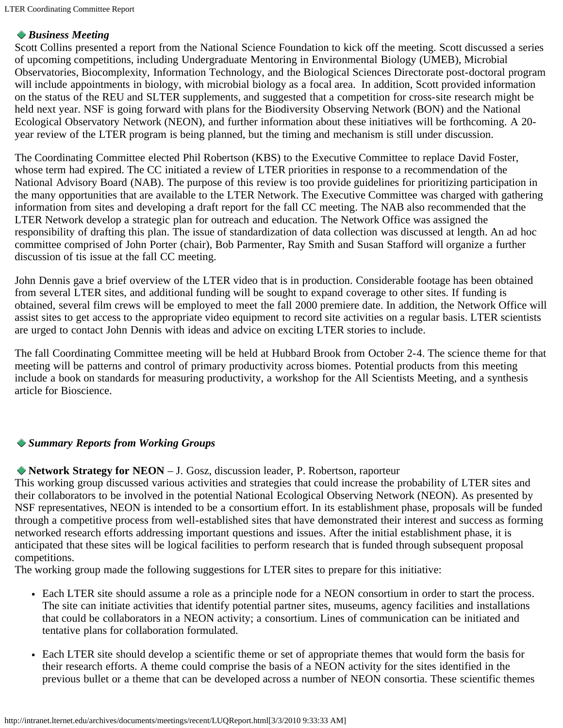# *Business Meeting*

<span id="page-1-0"></span>Scott Collins presented a report from the National Science Foundation to kick off the meeting. Scott discussed a series of upcoming competitions, including Undergraduate Mentoring in Environmental Biology (UMEB), Microbial Observatories, Biocomplexity, Information Technology, and the Biological Sciences Directorate post-doctoral program will include appointments in biology, with microbial biology as a focal area. In addition, Scott provided information on the status of the REU and SLTER supplements, and suggested that a competition for cross-site research might be held next year. NSF is going forward with plans for the Biodiversity Observing Network (BON) and the National Ecological Observatory Network (NEON), and further information about these initiatives will be forthcoming. A 20 year review of the LTER program is being planned, but the timing and mechanism is still under discussion.

The Coordinating Committee elected Phil Robertson (KBS) to the Executive Committee to replace David Foster, whose term had expired. The CC initiated a review of LTER priorities in response to a recommendation of the National Advisory Board (NAB). The purpose of this review is too provide guidelines for prioritizing participation in the many opportunities that are available to the LTER Network. The Executive Committee was charged with gathering information from sites and developing a draft report for the fall CC meeting. The NAB also recommended that the LTER Network develop a strategic plan for outreach and education. The Network Office was assigned the responsibility of drafting this plan. The issue of standardization of data collection was discussed at length. An ad hoc committee comprised of John Porter (chair), Bob Parmenter, Ray Smith and Susan Stafford will organize a further discussion of tis issue at the fall CC meeting.

John Dennis gave a brief overview of the LTER video that is in production. Considerable footage has been obtained from several LTER sites, and additional funding will be sought to expand coverage to other sites. If funding is obtained, several film crews will be employed to meet the fall 2000 premiere date. In addition, the Network Office will assist sites to get access to the appropriate video equipment to record site activities on a regular basis. LTER scientists are urged to contact John Dennis with ideas and advice on exciting LTER stories to include.

The fall Coordinating Committee meeting will be held at Hubbard Brook from October 2-4. The science theme for that meeting will be patterns and control of primary productivity across biomes. Potential products from this meeting include a book on standards for measuring productivity, a workshop for the All Scientists Meeting, and a synthesis article for Bioscience.

# <span id="page-1-1"></span>*Summary Reports from Working Groups*

# <span id="page-1-2"></span>**Network Strategy for NEON** – J. Gosz, discussion leader, P. Robertson, raporteur

This working group discussed various activities and strategies that could increase the probability of LTER sites and their collaborators to be involved in the potential National Ecological Observing Network (NEON). As presented by NSF representatives, NEON is intended to be a consortium effort. In its establishment phase, proposals will be funded through a competitive process from well-established sites that have demonstrated their interest and success as forming networked research efforts addressing important questions and issues. After the initial establishment phase, it is anticipated that these sites will be logical facilities to perform research that is funded through subsequent proposal competitions.

The working group made the following suggestions for LTER sites to prepare for this initiative:

- Each LTER site should assume a role as a principle node for a NEON consortium in order to start the process. The site can initiate activities that identify potential partner sites, museums, agency facilities and installations that could be collaborators in a NEON activity; a consortium. Lines of communication can be initiated and tentative plans for collaboration formulated.
- Each LTER site should develop a scientific theme or set of appropriate themes that would form the basis for their research efforts. A theme could comprise the basis of a NEON activity for the sites identified in the previous bullet or a theme that can be developed across a number of NEON consortia. These scientific themes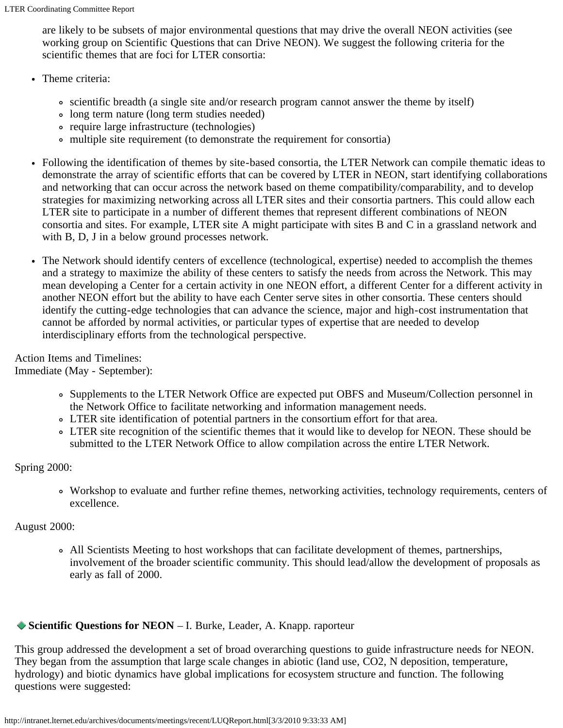are likely to be subsets of major environmental questions that may drive the overall NEON activities (see working group on Scientific Questions that can Drive NEON). We suggest the following criteria for the scientific themes that are foci for LTER consortia:

- Theme criteria:
	- scientific breadth (a single site and/or research program cannot answer the theme by itself)
	- long term nature (long term studies needed)
	- require large infrastructure (technologies)
	- multiple site requirement (to demonstrate the requirement for consortia)
- Following the identification of themes by site-based consortia, the LTER Network can compile thematic ideas to demonstrate the array of scientific efforts that can be covered by LTER in NEON, start identifying collaborations and networking that can occur across the network based on theme compatibility/comparability, and to develop strategies for maximizing networking across all LTER sites and their consortia partners. This could allow each LTER site to participate in a number of different themes that represent different combinations of NEON consortia and sites. For example, LTER site A might participate with sites B and C in a grassland network and with B, D, J in a below ground processes network.
- The Network should identify centers of excellence (technological, expertise) needed to accomplish the themes and a strategy to maximize the ability of these centers to satisfy the needs from across the Network. This may mean developing a Center for a certain activity in one NEON effort, a different Center for a different activity in another NEON effort but the ability to have each Center serve sites in other consortia. These centers should identify the cutting-edge technologies that can advance the science, major and high-cost instrumentation that cannot be afforded by normal activities, or particular types of expertise that are needed to develop interdisciplinary efforts from the technological perspective.

Action Items and Timelines: Immediate (May - September):

- Supplements to the LTER Network Office are expected put OBFS and Museum/Collection personnel in the Network Office to facilitate networking and information management needs.
- LTER site identification of potential partners in the consortium effort for that area.
- LTER site recognition of the scientific themes that it would like to develop for NEON. These should be submitted to the LTER Network Office to allow compilation across the entire LTER Network.

Spring 2000:

Workshop to evaluate and further refine themes, networking activities, technology requirements, centers of excellence.

# August 2000:

All Scientists Meeting to host workshops that can facilitate development of themes, partnerships, involvement of the broader scientific community. This should lead/allow the development of proposals as early as fall of 2000.

# <span id="page-2-0"></span>◆ **Scientific Questions for NEON** – I. Burke, Leader, A. Knapp. raporteur

This group addressed the development a set of broad overarching questions to guide infrastructure needs for NEON. They began from the assumption that large scale changes in abiotic (land use, CO2, N deposition, temperature, hydrology) and biotic dynamics have global implications for ecosystem structure and function. The following questions were suggested: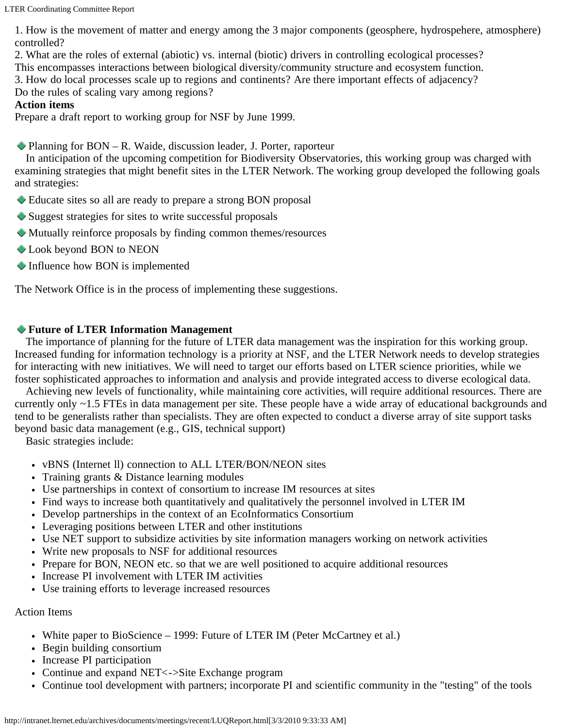LTER Coordinating Committee Report

1. How is the movement of matter and energy among the 3 major components (geosphere, hydrospehere, atmosphere) controlled?

2. What are the roles of external (abiotic) vs. internal (biotic) drivers in controlling ecological processes?

This encompasses interactions between biological diversity/community structure and ecosystem function. 3. How do local processes scale up to regions and continents? Are there important effects of adjacency?

Do the rules of scaling vary among regions?

# **Action items**

<span id="page-3-0"></span>Prepare a draft report to working group for NSF by June 1999.

◆ Planning for BON – R. Waide, discussion leader, J. Porter, raporteur

 In anticipation of the upcoming competition for Biodiversity Observatories, this working group was charged with examining strategies that might benefit sites in the LTER Network. The working group developed the following goals and strategies:

- Educate sites so all are ready to prepare a strong BON proposal
- Suggest strategies for sites to write successful proposals
- Mutually reinforce proposals by finding common themes/resources
- Look beyond BON to NEON
- $\blacktriangleright$  Influence how BON is implemented

The Network Office is in the process of implementing these suggestions.

# <span id="page-3-1"></span>**Future of LTER Information Management**

 The importance of planning for the future of LTER data management was the inspiration for this working group. Increased funding for information technology is a priority at NSF, and the LTER Network needs to develop strategies for interacting with new initiatives. We will need to target our efforts based on LTER science priorities, while we foster sophisticated approaches to information and analysis and provide integrated access to diverse ecological data.

 Achieving new levels of functionality, while maintaining core activities, will require additional resources. There are currently only ~1.5 FTEs in data management per site. These people have a wide array of educational backgrounds and tend to be generalists rather than specialists. They are often expected to conduct a diverse array of site support tasks beyond basic data management (e.g., GIS, technical support)

Basic strategies include:

- vBNS (Internet ll) connection to ALL LTER/BON/NEON sites
- Training grants & Distance learning modules
- Use partnerships in context of consortium to increase IM resources at sites
- Find ways to increase both quantitatively and qualitatively the personnel involved in LTER IM
- Develop partnerships in the context of an EcoInformatics Consortium
- Leveraging positions between LTER and other institutions
- Use NET support to subsidize activities by site information managers working on network activities
- Write new proposals to NSF for additional resources
- Prepare for BON, NEON etc. so that we are well positioned to acquire additional resources
- Increase PI involvement with LTER IM activities
- Use training efforts to leverage increased resources

# Action Items

- White paper to BioScience 1999: Future of LTER IM (Peter McCartney et al.)
- Begin building consortium
- Increase PI participation
- Continue and expand NET <->Site Exchange program
- Continue tool development with partners; incorporate PI and scientific community in the "testing" of the tools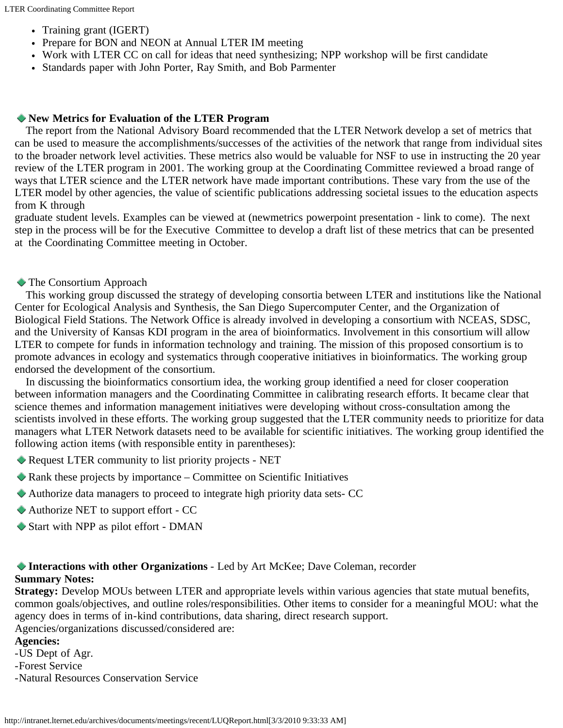- Training grant (IGERT)
- Prepare for BON and NEON at Annual LTER IM meeting
- Work with LTER CC on call for ideas that need synthesizing; NPP workshop will be first candidate
- Standards paper with John Porter, Ray Smith, and Bob Parmenter

#### <span id="page-4-0"></span>**New Metrics for Evaluation of the LTER Program**

 The report from the National Advisory Board recommended that the LTER Network develop a set of metrics that can be used to measure the accomplishments/successes of the activities of the network that range from individual sites to the broader network level activities. These metrics also would be valuable for NSF to use in instructing the 20 year review of the LTER program in 2001. The working group at the Coordinating Committee reviewed a broad range of ways that LTER science and the LTER network have made important contributions. These vary from the use of the LTER model by other agencies, the value of scientific publications addressing societal issues to the education aspects from K through

graduate student levels. Examples can be viewed at (newmetrics powerpoint presentation - link to come). The next step in the process will be for the Executive Committee to develop a draft list of these metrics that can be presented at the Coordinating Committee meeting in October.

### <span id="page-4-1"></span>The Consortium Approach

 This working group discussed the strategy of developing consortia between LTER and institutions like the National Center for Ecological Analysis and Synthesis, the San Diego Supercomputer Center, and the Organization of Biological Field Stations. The Network Office is already involved in developing a consortium with NCEAS, SDSC, and the University of Kansas KDI program in the area of bioinformatics. Involvement in this consortium will allow LTER to compete for funds in information technology and training. The mission of this proposed consortium is to promote advances in ecology and systematics through cooperative initiatives in bioinformatics. The working group endorsed the development of the consortium.

 In discussing the bioinformatics consortium idea, the working group identified a need for closer cooperation between information managers and the Coordinating Committee in calibrating research efforts. It became clear that science themes and information management initiatives were developing without cross-consultation among the scientists involved in these efforts. The working group suggested that the LTER community needs to prioritize for data managers what LTER Network datasets need to be available for scientific initiatives. The working group identified the following action items (with responsible entity in parentheses):

- Request LTER community to list priority projects NET
- Rank these projects by importance Committee on Scientific Initiatives
- Authorize data managers to proceed to integrate high priority data sets- CC
- Authorize NET to support effort CC
- Start with NPP as pilot effort DMAN

## <span id="page-4-2"></span>**Interactions with other Organizations** - Led by Art McKee; Dave Coleman, recorder **Summary Notes:**

**Strategy:** Develop MOUs between LTER and appropriate levels within various agencies that state mutual benefits, common goals/objectives, and outline roles/responsibilities. Other items to consider for a meaningful MOU: what the agency does in terms of in-kind contributions, data sharing, direct research support.

Agencies/organizations discussed/considered are:

### **Agencies:**

- -US Dept of Agr.
- -Forest Service
- -Natural Resources Conservation Service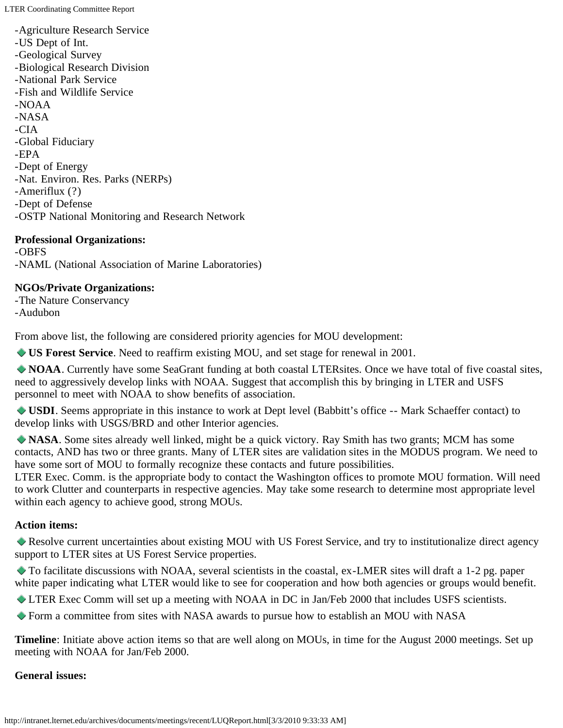- -Agriculture Research Service
- -US Dept of Int.
- -Geological Survey
- -Biological Research Division
- -National Park Service
- -Fish and Wildlife Service
- -NOAA
- -NASA
- -CIA
- -Global Fiduciary
- -EPA
- -Dept of Energy
- -Nat. Environ. Res. Parks (NERPs)
- -Ameriflux (?)
- -Dept of Defense
- -OSTP National Monitoring and Research Network

# **Professional Organizations:**

-OBFS -NAML (National Association of Marine Laboratories)

# **NGOs/Private Organizations:**

-The Nature Conservancy -Audubon

From above list, the following are considered priority agencies for MOU development:

**US Forest Service**. Need to reaffirm existing MOU, and set stage for renewal in 2001.

**NOAA**. Currently have some SeaGrant funding at both coastal LTERsites. Once we have total of five coastal sites, need to aggressively develop links with NOAA. Suggest that accomplish this by bringing in LTER and USFS personnel to meet with NOAA to show benefits of association.

**USDI**. Seems appropriate in this instance to work at Dept level (Babbitt's office -- Mark Schaeffer contact) to develop links with USGS/BRD and other Interior agencies.

**NASA**. Some sites already well linked, might be a quick victory. Ray Smith has two grants; MCM has some contacts, AND has two or three grants. Many of LTER sites are validation sites in the MODUS program. We need to have some sort of MOU to formally recognize these contacts and future possibilities.

LTER Exec. Comm. is the appropriate body to contact the Washington offices to promote MOU formation. Will need to work Clutter and counterparts in respective agencies. May take some research to determine most appropriate level within each agency to achieve good, strong MOUs.

# **Action items:**

Resolve current uncertainties about existing MOU with US Forest Service, and try to institutionalize direct agency support to LTER sites at US Forest Service properties.

To facilitate discussions with NOAA, several scientists in the coastal, ex-LMER sites will draft a 1-2 pg. paper white paper indicating what LTER would like to see for cooperation and how both agencies or groups would benefit.

LTER Exec Comm will set up a meeting with NOAA in DC in Jan/Feb 2000 that includes USFS scientists.

Form a committee from sites with NASA awards to pursue how to establish an MOU with NASA

**Timeline**: Initiate above action items so that are well along on MOUs, in time for the August 2000 meetings. Set up meeting with NOAA for Jan/Feb 2000.

# **General issues:**